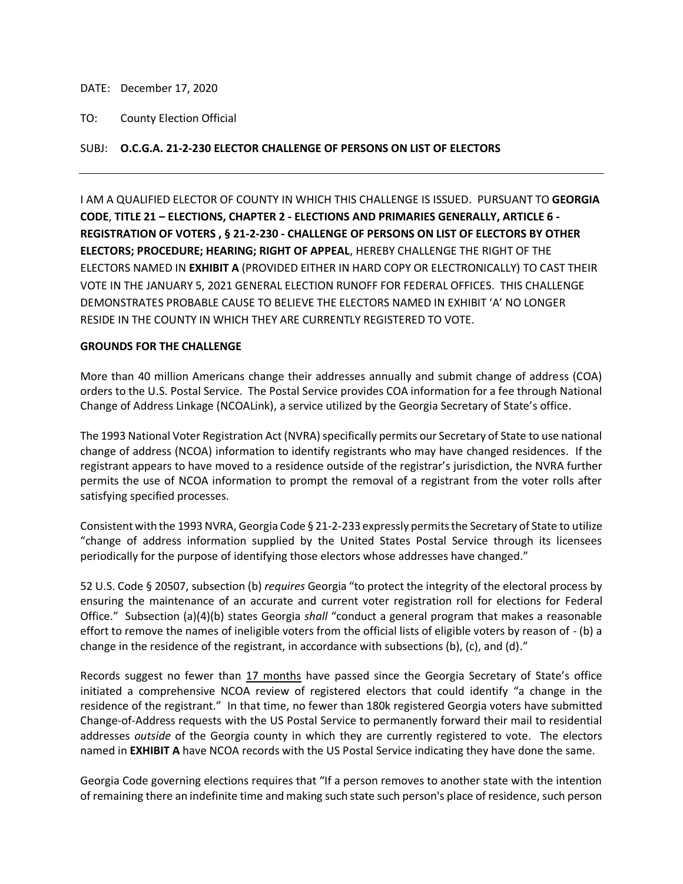DATE: December 17, 2020

## TO: County Election Official

## SUBJ: **O.C.G.A. 21-2-230 ELECTOR CHALLENGE OF PERSONS ON LIST OF ELECTORS**

I AM A QUALIFIED ELECTOR OF COUNTY IN WHICH THIS CHALLENGE IS ISSUED. PURSUANT TO **GEORGIA CODE**, **TITLE 21 – ELECTIONS, CHAPTER 2 - ELECTIONS AND PRIMARIES GENERALLY, ARTICLE 6 - REGISTRATION OF VOTERS , § 21-2-230 - CHALLENGE OF PERSONS ON LIST OF ELECTORS BY OTHER ELECTORS; PROCEDURE; HEARING; RIGHT OF APPEAL**, HEREBY CHALLENGE THE RIGHT OF THE ELECTORS NAMED IN **EXHIBIT A** (PROVIDED EITHER IN HARD COPY OR ELECTRONICALLY) TO CAST THEIR VOTE IN THE JANUARY 5, 2021 GENERAL ELECTION RUNOFF FOR FEDERAL OFFICES. THIS CHALLENGE DEMONSTRATES PROBABLE CAUSE TO BELIEVE THE ELECTORS NAMED IN EXHIBIT 'A' NO LONGER RESIDE IN THE COUNTY IN WHICH THEY ARE CURRENTLY REGISTERED TO VOTE.

## **GROUNDS FOR THE CHALLENGE**

More than 40 million Americans change their addresses annually and submit change of address (COA) orders to the U.S. Postal Service. The Postal Service provides COA information for a fee through National Change of Address Linkage (NCOALink), a service utilized by the Georgia Secretary of State's office.

The 1993 National Voter Registration Act (NVRA) specifically permits our Secretary of State to use national change of address (NCOA) information to identify registrants who may have changed residences. If the registrant appears to have moved to a residence outside of the registrar's jurisdiction, the NVRA further permits the use of NCOA information to prompt the removal of a registrant from the voter rolls after satisfying specified processes.

Consistent with the 1993 NVRA, Georgia Code § 21-2-233 expressly permits the Secretary of State to utilize "change of address information supplied by the United States Postal Service through its licensees periodically for the purpose of identifying those electors whose addresses have changed."

52 U.S. Code § 20507, subsection (b) *requires* Georgia "to protect the integrity of the electoral process by ensuring the maintenance of an accurate and current voter registration roll for elections for Federal Office." Subsection (a)(4)(b) states Georgia *shall* "conduct a general program that makes a reasonable effort to remove the names of ineligible voters from the official lists of eligible voters by reason of - (b) a change in the residence of the registrant, in accordance with subsections (b), (c), and (d)."

Records suggest no fewer than 17 months have passed since the Georgia Secretary of State's office initiated a comprehensive NCOA review of registered electors that could identify "a change in the residence of the registrant." In that time, no fewer than 180k registered Georgia voters have submitted Change-of-Address requests with the US Postal Service to permanently forward their mail to residential addresses *outside* of the Georgia county in which they are currently registered to vote. The electors named in **EXHIBIT A** have NCOA records with the US Postal Service indicating they have done the same.

Georgia Code governing elections requires that "If a person removes to another state with the intention of remaining there an indefinite time and making such state such person's place of residence, such person